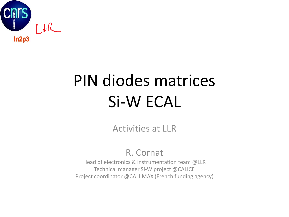

# PIN diodes matrices Si-W ECAL

Activities at LLR

#### R. Cornat

Head of electronics & instrumentation team @LLR Technical manager Si-W project @CALICE Project coordinator @CALIIMAX (French funding agency)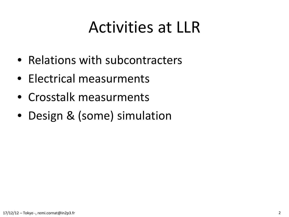#### Activities at LLR

- Relations with subcontracters
- Electrical measurments
- Crosstalk measurments
- Design & (some) simulation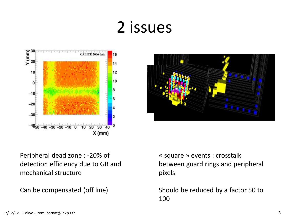#### 2 issues





Peripheral dead zone : -20% of detection efficiency due to GR and mechanical structure

Can be compensated (off line)

« square » events : crosstalk between guard rings and peripheral pixels

Should be reduced by a factor 50 to 100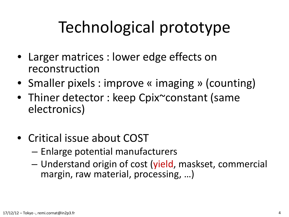### Technological prototype

- Larger matrices : lower edge effects on reconstruction
- Smaller pixels : improve « imaging » (counting)
- Thiner detector : keep Cpix~constant (same electronics)
- Critical issue about COST
	- Enlarge potential manufacturers
	- Understand origin of cost (yield, maskset, commercial margin, raw material, processing, …)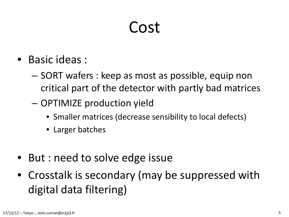#### Cost

- Basic ideas :
	- SORT wafers : keep as most as possible, equip non critical part of the detector with partly bad matrices
	- OPTIMIZE production yield
		- Smaller matrices (decrease sensibility to local defects)
		- Larger batches
- But : need to solve edge issue
- Crosstalk is secondary (may be suppressed with digital data filtering)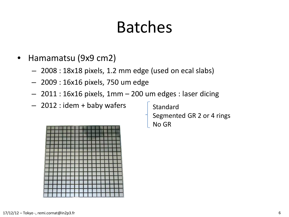### Batches

- Hamamatsu (9x9 cm2)
	- 2008 : 18x18 pixels, 1.2 mm edge (used on ecal slabs)
	- 2009 : 16x16 pixels, 750 um edge
	- 2011 : 16x16 pixels, 1mm 200 um edges : laser dicing
	- $-$  2012 : idem + baby wafers  $\left\lceil \right\rceil$  Standard

Segmented GR 2 or 4 rings No GR

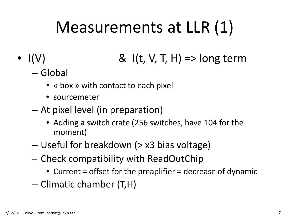### Measurements at LLR (1)

- $I(V)$  &  $I(t, V, T, H)$  => long term
	- Global
		- « box » with contact to each pixel
		- sourcemeter
	- At pixel level (in preparation)
		- Adding a switch crate (256 switches, have 104 for the moment)
	- Useful for breakdown (> x3 bias voltage)
	- Check compatibility with ReadOutChip
		- Current = offset for the preaplifier = decrease of dynamic
	- Climatic chamber (T,H)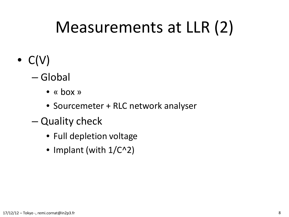#### Measurements at LLR (2)

- $\bullet$  C(V)
	- Global
		- « box »
		- Sourcemeter + RLC network analyser
	- Quality check
		- Full depletion voltage
		- Implant (with  $1/C^2$ )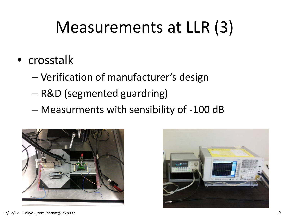#### Measurements at LLR (3)

- crosstalk
	- Verification of manufacturer's design
	- R&D (segmented guardring)
	- Measurments with sensibility of -100 dB



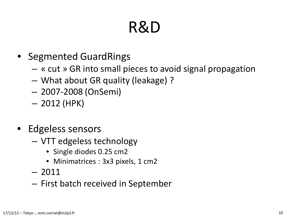### R&D

- Segmented GuardRings
	- « cut » GR into small pieces to avoid signal propagation
	- What about GR quality (leakage) ?
	- 2007-2008 (OnSemi)
	- 2012 (HPK)
- Edgeless sensors
	- VTT edgeless technology
		- Single diodes 0.25 cm2
		- Minimatrices : 3x3 pixels, 1 cm2
	- 2011
	- First batch received in September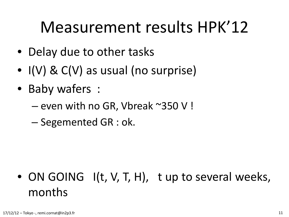#### Measurement results HPK'12

- Delay due to other tasks
- I(V) & C(V) as usual (no surprise)
- Baby wafers :
	- even with no GR, Vbreak ~350 V !
	- Segemented GR : ok.

#### • ON GOING I(t, V, T, H), t up to several weeks, months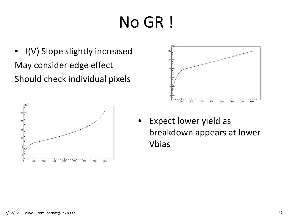# No GR !

• I(V) Slope slightly increased May consider edge effect Should check individual pixels





Expect lower yield as breakdown appears at lower Vbias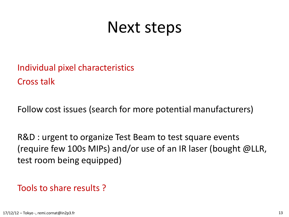#### Next steps

Individual pixel characteristics Cross talk

Follow cost issues (search for more potential manufacturers)

R&D : urgent to organize Test Beam to test square events (require few 100s MIPs) and/or use of an IR laser (bought @LLR, test room being equipped)

#### Tools to share results ?